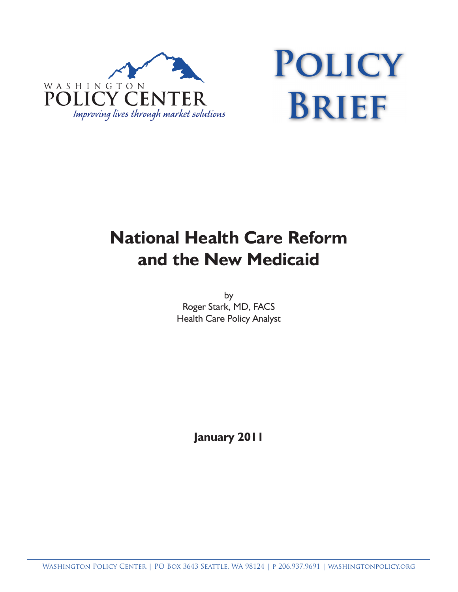

# **Policy Brief**

# **National Health Care Reform and the New Medicaid**

by Roger Stark, MD, FACS Health Care Policy Analyst

**January 2011**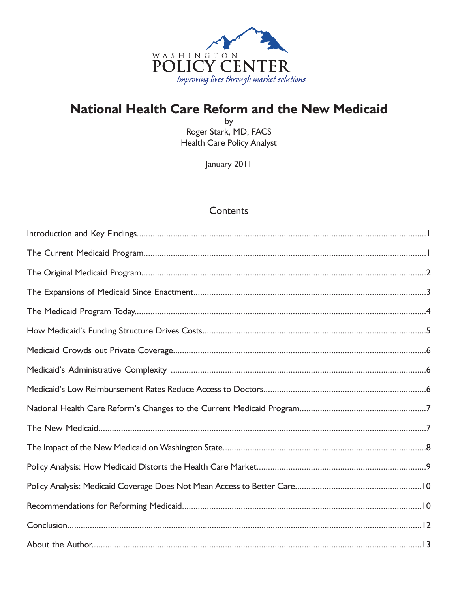

## **National Health Care Reform and the New Medicaid**

by Roger Stark, MD, FACS **Health Care Policy Analyst** 

January 2011

## **Contents**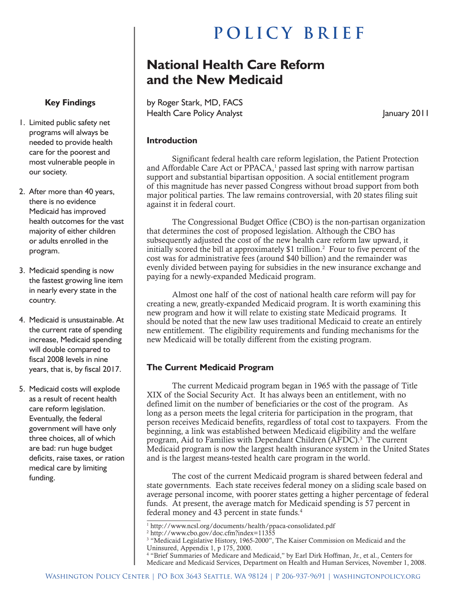# **POLICY BRIEF**

## **National Health Care Reform and the New Medicaid**

by Roger Stark, MD, FACS Health Care Policy Analyst **Analyst** January 2011

#### **Introduction**

Significant federal health care reform legislation, the Patient Protection and Affordable Care Act or  $PPACA$ ,<sup>1</sup> passed last spring with narrow partisan support and substantial bipartisan opposition. A social entitlement program of this magnitude has never passed Congress without broad support from both major political parties. The law remains controversial, with 20 states filing suit against it in federal court.

The Congressional Budget Office (CBO) is the non-partisan organization that determines the cost of proposed legislation. Although the CBO has subsequently adjusted the cost of the new health care reform law upward, it initially scored the bill at approximately  $$1$  trillion.<sup>2</sup> Four to five percent of the cost was for administrative fees (around \$40 billion) and the remainder was evenly divided between paying for subsidies in the new insurance exchange and paying for a newly-expanded Medicaid program.

Almost one half of the cost of national health care reform will pay for creating a new, greatly-expanded Medicaid program. It is worth examining this new program and how it will relate to existing state Medicaid programs. It should be noted that the new law uses traditional Medicaid to create an entirely new entitlement. The eligibility requirements and funding mechanisms for the new Medicaid will be totally different from the existing program.

#### **The Current Medicaid Program**

The current Medicaid program began in 1965 with the passage of Title XIX of the Social Security Act. It has always been an entitlement, with no defined limit on the number of beneficiaries or the cost of the program. As long as a person meets the legal criteria for participation in the program, that person receives Medicaid benefits, regardless of total cost to taxpayers. From the beginning, a link was established between Medicaid eligibility and the welfare program, Aid to Families with Dependant Children (AFDC).<sup>3</sup> The current Medicaid program is now the largest health insurance system in the United States and is the largest means-tested health care program in the world.

The cost of the current Medicaid program is shared between federal and state governments. Each state receives federal money on a sliding scale based on average personal income, with poorer states getting a higher percentage of federal funds. At present, the average match for Medicaid spending is 57 percent in federal money and 43 percent in state funds.<sup>4</sup>

### **Key Findings**

- 1. Limited public safety net programs will always be needed to provide health care for the poorest and most vulnerable people in our society.
- 2. After more than 40 years, there is no evidence Medicaid has improved health outcomes for the vast majority of either children or adults enrolled in the program.
- 3. Medicaid spending is now the fastest growing line item in nearly every state in the country.
- 4. Medicaid is unsustainable. At the current rate of spending increase, Medicaid spending will double compared to fiscal 2008 levels in nine years, that is, by fiscal 2017.
- 5. Medicaid costs will explode as a result of recent health care reform legislation. Eventually, the federal government will have only three choices, all of which are bad: run huge budget deficits, raise taxes, or ration medical care by limiting funding.

<sup>1</sup> http://www.ncsl.org/documents/health/ppaca-consolidated.pdf

<sup>2</sup> http://www.cbo.gov/doc.cfm?index=11355

<sup>3</sup> "Medicaid Legislative History, 1965-2000", The Kaiser Commission on Medicaid and the Uninsured, Appendix 1, p 175, 2000.

<sup>4</sup> "Brief Summaries of Medicare and Medicaid," by Earl Dirk Hoffman, Jr., et al., Centers for Medicare and Medicaid Services, Department on Health and Human Services, November 1, 2008.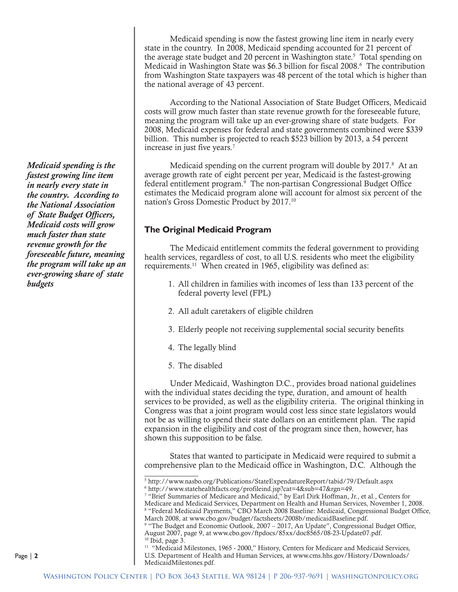Medicaid spending is now the fastest growing line item in nearly every state in the country. In 2008, Medicaid spending accounted for 21 percent of the average state budget and 20 percent in Washington state.<sup>5</sup> Total spending on Medicaid in Washington State was \$6.3 billion for fiscal 2008.<sup>6</sup> The contribution from Washington State taxpayers was 48 percent of the total which is higher than the national average of 43 percent.

According to the National Association of State Budget Officers, Medicaid costs will grow much faster than state revenue growth for the foreseeable future, meaning the program will take up an ever-growing share of state budgets. For 2008, Medicaid expenses for federal and state governments combined were \$339 billion. This number is projected to reach \$523 billion by 2013, a 54 percent increase in just five years.7

Medicaid spending on the current program will double by  $2017$ .<sup>8</sup> At an average growth rate of eight percent per year, Medicaid is the fastest-growing federal entitlement program.<sup>9</sup> The non-partisan Congressional Budget Office estimates the Medicaid program alone will account for almost six percent of the nation's Gross Domestic Product by 2017.10

#### **The Original Medicaid Program**

The Medicaid entitlement commits the federal government to providing health services, regardless of cost, to all U.S. residents who meet the eligibility requirements.11 When created in 1965, eligibility was defined as:

- 1. All children in families with incomes of less than 133 percent of the federal poverty level (FPL)
- 2. All adult caretakers of eligible children
- 3. Elderly people not receiving supplemental social security benefits
- 4. The legally blind
- 5. The disabled

Under Medicaid, Washington D.C., provides broad national guidelines with the individual states deciding the type, duration, and amount of health services to be provided, as well as the eligibility criteria. The original thinking in Congress was that a joint program would cost less since state legislators would not be as willing to spend their state dollars on an entitlement plan. The rapid expansion in the eligibility and cost of the program since then, however, has shown this supposition to be false.

States that wanted to participate in Medicaid were required to submit a comprehensive plan to the Medicaid office in Washington, D.C. Although the

*Medicaid spending is the fastest growing line item in nearly every state in the country. According to the National Association of State Budget Officers, Medicaid costs will grow much faster than state revenue growth for the foreseeable future, meaning the program will take up an ever-growing share of state budgets*

<sup>5</sup> http://www.nasbo.org/Publications/StateExpendatureReport/tabid/79/Default.aspx

<sup>6</sup> http://www.statehealthfacts.org/profileind.jsp?cat=4&sub=47&rgn=49. 7 "Brief Summaries of Medicare and Medicaid," by Earl Dirk Hoffman, Jr., et al., Centers for Medicare and Medicaid Services, Department on Health and Human Services, November 1, 2008. 8 "Federal Medicaid Payments," CBO March 2008 Baseline: Medicaid, Congressional Budget Office, March 2008, at www.cbo.gov/budget/factsheets/2008b/medicaidBaseline.pdf.

<sup>&</sup>lt;sup>9</sup> "The Budget and Economic Outlook, 2007 – 2017, An Update", Congressional Budget Office, August 2007, page 9, at www.cbo.gov/ftpdocs/85xx/doc8565/08-23-Update07.pdf.  $10$  Ibid, page 3.

<sup>&</sup>lt;sup>11</sup> "Medicaid Milestones, 1965 - 2000," History, Centers for Medicare and Medicaid Services, U.S. Department of Health and Human Services, at www.cms.hhs.gov/History/Downloads/ MedicaidMilestones.pdf.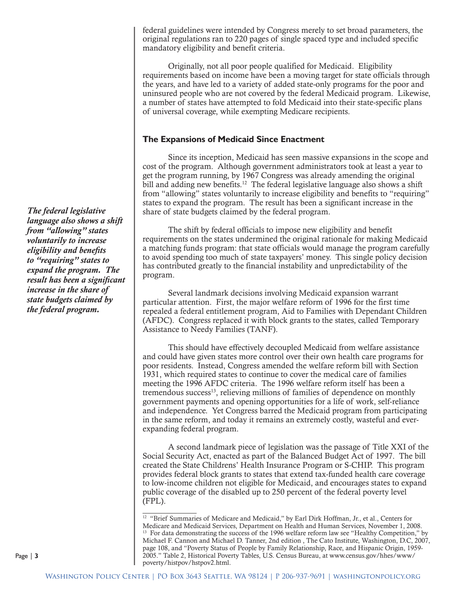federal guidelines were intended by Congress merely to set broad parameters, the original regulations ran to 220 pages of single spaced type and included specific mandatory eligibility and benefit criteria.

Originally, not all poor people qualified for Medicaid. Eligibility requirements based on income have been a moving target for state officials through the years, and have led to a variety of added state-only programs for the poor and uninsured people who are not covered by the federal Medicaid program. Likewise, a number of states have attempted to fold Medicaid into their state-specific plans of universal coverage, while exempting Medicare recipients.

#### **The Expansions of Medicaid Since Enactment**

Since its inception, Medicaid has seen massive expansions in the scope and cost of the program. Although government administrators took at least a year to get the program running, by 1967 Congress was already amending the original bill and adding new benefits.<sup>12</sup> The federal legislative language also shows a shift from "allowing" states voluntarily to increase eligibility and benefits to "requiring" states to expand the program. The result has been a significant increase in the share of state budgets claimed by the federal program.

The shift by federal officials to impose new eligibility and benefit requirements on the states undermined the original rationale for making Medicaid a matching funds program: that state officials would manage the program carefully to avoid spending too much of state taxpayers' money. This single policy decision has contributed greatly to the financial instability and unpredictability of the program.

Several landmark decisions involving Medicaid expansion warrant particular attention. First, the major welfare reform of 1996 for the first time repealed a federal entitlement program, Aid to Families with Dependant Children (AFDC). Congress replaced it with block grants to the states, called Temporary Assistance to Needy Families (TANF).

This should have effectively decoupled Medicaid from welfare assistance and could have given states more control over their own health care programs for poor residents. Instead, Congress amended the welfare reform bill with Section 1931, which required states to continue to cover the medical care of families meeting the 1996 AFDC criteria. The 1996 welfare reform itself has been a tremendous success<sup>13</sup>, relieving millions of families of dependence on monthly government payments and opening opportunities for a life of work, self-reliance and independence. Yet Congress barred the Medicaid program from participating in the same reform, and today it remains an extremely costly, wasteful and everexpanding federal program.

A second landmark piece of legislation was the passage of Title XXI of the Social Security Act, enacted as part of the Balanced Budget Act of 1997. The bill created the State Childrens' Health Insurance Program or S-CHIP. This program provides federal block grants to states that extend tax-funded health care coverage to low-income children not eligible for Medicaid, and encourages states to expand public coverage of the disabled up to 250 percent of the federal poverty level (FPL).

*The federal legislative language also shows a shift from "allowing" states voluntarily to increase eligibility and benefits to "requiring" states to expand the program. The result has been a significant increase in the share of state budgets claimed by the federal program.*

<sup>&</sup>lt;sup>12</sup> "Brief Summaries of Medicare and Medicaid," by Earl Dirk Hoffman, Jr., et al., Centers for Medicare and Medicaid Services, Department on Health and Human Services, November 1, 2008. <sup>13</sup> For data demonstrating the success of the 1996 welfare reform law see "Healthy Competition," by Michael F. Cannon and Michael D. Tanner, 2nd edition , The Cato Institute, Washington, D.C, 2007, page 108, and "Poverty Status of People by Family Relationship, Race, and Hispanic Origin, 1959- 2005." Table 2, Historical Poverty Tables, U.S. Census Bureau, at www.census.gov/hhes/www/ poverty/histpov/hstpov2.html.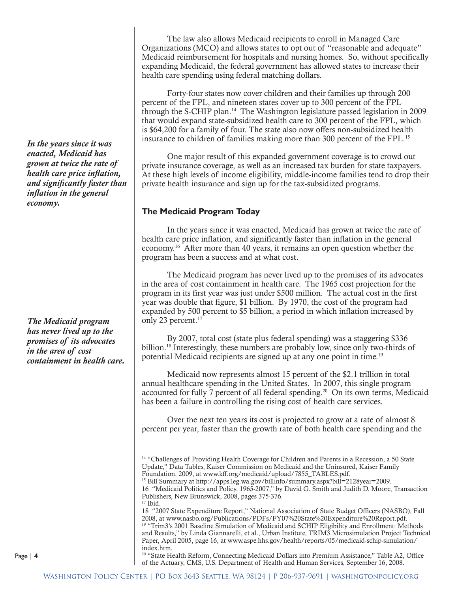*In the years since it was enacted, Medicaid has grown at twice the rate of health care price inflation, and significantly faster than inflation in the general economy.*

*The Medicaid program has never lived up to the promises of its advocates in the area of cost containment in health care.*

The law also allows Medicaid recipients to enroll in Managed Care Organizations (MCO) and allows states to opt out of "reasonable and adequate" Medicaid reimbursement for hospitals and nursing homes. So, without specifically expanding Medicaid, the federal government has allowed states to increase their health care spending using federal matching dollars.

Forty-four states now cover children and their families up through 200 percent of the FPL, and nineteen states cover up to 300 percent of the FPL through the S-CHIP plan.14 The Washington legislature passed legislation in 2009 that would expand state-subsidized health care to 300 percent of the FPL, which is \$64,200 for a family of four. The state also now offers non-subsidized health insurance to children of families making more than 300 percent of the FPL.15

One major result of this expanded government coverage is to crowd out private insurance coverage, as well as an increased tax burden for state taxpayers. At these high levels of income eligibility, middle-income families tend to drop their private health insurance and sign up for the tax-subsidized programs.

#### **The Medicaid Program Today**

In the years since it was enacted, Medicaid has grown at twice the rate of health care price inflation, and significantly faster than inflation in the general economy.16 After more than 40 years, it remains an open question whether the program has been a success and at what cost.

The Medicaid program has never lived up to the promises of its advocates in the area of cost containment in health care. The 1965 cost projection for the program in its first year was just under \$500 million. The actual cost in the first year was double that figure, \$1 billion. By 1970, the cost of the program had expanded by 500 percent to \$5 billion, a period in which inflation increased by only 23 percent.<sup>17</sup>

By 2007, total cost (state plus federal spending) was a staggering \$336 billion.<sup>18</sup> Interestingly, these numbers are probably low, since only two-thirds of potential Medicaid recipients are signed up at any one point in time.19

Medicaid now represents almost 15 percent of the \$2.1 trillion in total annual healthcare spending in the United States. In 2007, this single program accounted for fully  $7$  percent of all federal spending.<sup>20</sup> On its own terms, Medicaid has been a failure in controlling the rising cost of health care services.

Over the next ten years its cost is projected to grow at a rate of almost 8 percent per year, faster than the growth rate of both health care spending and the

<sup>20</sup> "State Health Reform, Connecting Medicaid Dollars into Premium Assistance," Table A2, Office of the Actuary, CMS, U.S. Department of Health and Human Services, September 16, 2008.

<sup>&</sup>lt;sup>14</sup> "Challenges of Providing Health Coverage for Children and Parents in a Recession, a 50 State Update," Data Tables, Kaiser Commission on Medicaid and the Uninsured, Kaiser Family Foundation, 2009, at www.kff.org/medicaid/upload/7855\_TABLES.pdf.

<sup>&</sup>lt;sup>15</sup> Bill Summary at http://apps.leg.wa.gov/billinfo/summary.aspx?bill=2128year=2009. 16 "Medicaid Politics and Policy, 1965-2007," by David G. Smith and Judith D. Moore, Transaction Publishers, New Brunswick, 2008, pages 375-376.

<sup>&</sup>lt;sup>17</sup> Ibid.

<sup>18 &</sup>quot;2007 State Expenditure Report," National Association of State Budget Officers (NASBO), Fall 2008, at www.nasbo.org/Publications/PDFs/FY07%20State%20Expenditure%20Report.pdf. <sup>19</sup> "Trim3's 2001 Baseline Simulation of Medicaid and SCHIP Eligibility and Enrollment: Methods and Results," by Linda Giannarelli, et al., Urban Institute, TRIM3 Microsimulation Project Technical Paper, April 2005, page 16, at www.aspe.hhs.gov/health/reports/05/medicaid-schip-simulation/ index.htm.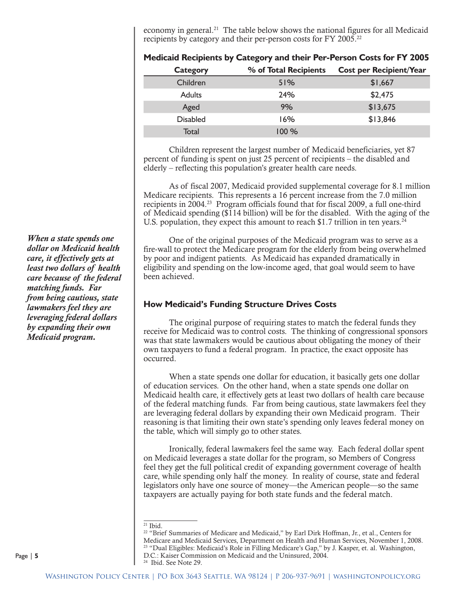economy in general.<sup>21</sup> The table below shows the national figures for all Medicaid recipients by category and their per-person costs for FY 2005.<sup>22</sup>

| Medicaid Recipients by Category and their Per-Person Costs for FY 2005 |                       |                                |
|------------------------------------------------------------------------|-----------------------|--------------------------------|
| <b>Category</b>                                                        | % of Total Recipients | <b>Cost per Recipient/Year</b> |
| Children                                                               | 51%                   | \$1,667                        |
| <b>Adults</b>                                                          | 24%                   | \$2,475                        |
| Aged                                                                   | 9%                    | \$13,675                       |
| <b>Disabled</b>                                                        | 16%                   | \$13,846                       |
| <b>Total</b>                                                           | 100 %                 |                                |

Children represent the largest number of Medicaid beneficiaries, yet 87 percent of funding is spent on just 25 percent of recipients – the disabled and elderly – reflecting this population's greater health care needs.

As of fiscal 2007, Medicaid provided supplemental coverage for 8.1 million Medicare recipients. This represents a 16 percent increase from the 7.0 million recipients in 2004.<sup>23</sup> Program officials found that for fiscal 2009, a full one-third of Medicaid spending (\$114 billion) will be for the disabled. With the aging of the U.S. population, they expect this amount to reach \$1.7 trillion in ten years.<sup>24</sup>

One of the original purposes of the Medicaid program was to serve as a fire-wall to protect the Medicare program for the elderly from being overwhelmed by poor and indigent patients. As Medicaid has expanded dramatically in eligibility and spending on the low-income aged, that goal would seem to have been achieved.

#### **How Medicaid's Funding Structure Drives Costs**

The original purpose of requiring states to match the federal funds they receive for Medicaid was to control costs. The thinking of congressional sponsors was that state lawmakers would be cautious about obligating the money of their own taxpayers to fund a federal program. In practice, the exact opposite has occurred.

When a state spends one dollar for education, it basically gets one dollar of education services. On the other hand, when a state spends one dollar on Medicaid health care, it effectively gets at least two dollars of health care because of the federal matching funds. Far from being cautious, state lawmakers feel they are leveraging federal dollars by expanding their own Medicaid program. Their reasoning is that limiting their own state's spending only leaves federal money on the table, which will simply go to other states.

Ironically, federal lawmakers feel the same way. Each federal dollar spent on Medicaid leverages a state dollar for the program, so Members of Congress feel they get the full political credit of expanding government coverage of health care, while spending only half the money. In reality of course, state and federal legislators only have one source of money—the American people—so the same taxpayers are actually paying for both state funds and the federal match.

*When a state spends one dollar on Medicaid health care, it effectively gets at least two dollars of health care because of the federal matching funds. Far from being cautious, state lawmakers feel they are leveraging federal dollars by expanding their own Medicaid program.*

 $21$  Ibid.

<sup>&</sup>lt;sup>22</sup> "Brief Summaries of Medicare and Medicaid," by Earl Dirk Hoffman, Jr., et al., Centers for Medicare and Medicaid Services, Department on Health and Human Services, November 1, 2008. 23 "Dual Eligibles: Medicaid's Role in Filling Medicare's Gap," by J. Kasper, et. al. Washington, D.C.: Kaiser Commission on Medicaid and the Uninsured, 2004. 24 Ibid. See Note 29.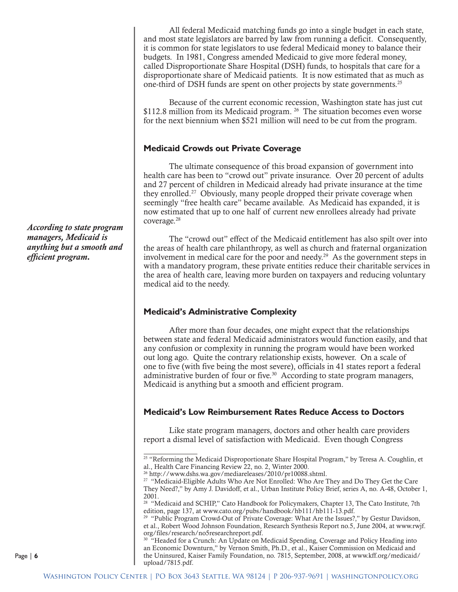All federal Medicaid matching funds go into a single budget in each state, and most state legislators are barred by law from running a deficit. Consequently, it is common for state legislators to use federal Medicaid money to balance their budgets. In 1981, Congress amended Medicaid to give more federal money, called Disproportionate Share Hospital (DSH) funds, to hospitals that care for a disproportionate share of Medicaid patients. It is now estimated that as much as one-third of DSH funds are spent on other projects by state governments.25

Because of the current economic recession, Washington state has just cut \$112.8 million from its Medicaid program. <sup>26</sup> The situation becomes even worse for the next biennium when \$521 million will need to be cut from the program.

#### **Medicaid Crowds out Private Coverage**

The ultimate consequence of this broad expansion of government into health care has been to "crowd out" private insurance. Over 20 percent of adults and 27 percent of children in Medicaid already had private insurance at the time they enrolled.<sup>27</sup> Obviously, many people dropped their private coverage when seemingly "free health care" became available. As Medicaid has expanded, it is now estimated that up to one half of current new enrollees already had private coverage.28

The "crowd out" effect of the Medicaid entitlement has also spilt over into the areas of health care philanthropy, as well as church and fraternal organization involvement in medical care for the poor and needy.<sup>29</sup> As the government steps in with a mandatory program, these private entities reduce their charitable services in the area of health care, leaving more burden on taxpayers and reducing voluntary medical aid to the needy.

#### **Medicaid's Administrative Complexity**

After more than four decades, one might expect that the relationships between state and federal Medicaid administrators would function easily, and that any confusion or complexity in running the program would have been worked out long ago. Quite the contrary relationship exists, however. On a scale of one to five (with five being the most severe), officials in 41 states report a federal administrative burden of four or five. $30$  According to state program managers, Medicaid is anything but a smooth and efficient program.

#### **Medicaid's Low Reimbursement Rates Reduce Access to Doctors**

Like state program managers, doctors and other health care providers report a dismal level of satisfaction with Medicaid. Even though Congress

<sup>30</sup> "Headed for a Crunch: An Update on Medicaid Spending, Coverage and Policy Heading into an Economic Downturn," by Vernon Smith, Ph.D., et al., Kaiser Commission on Medicaid and the Uninsured, Kaiser Family Foundation, no. 7815, September, 2008, at www.kff.org/medicaid/ upload/7815.pdf.

*According to state program managers, Medicaid is anything but a smooth and efficient program.*

 $25$  "Reforming the Medicaid Disproportionate Share Hospital Program," by Teresa A. Coughlin, et al., Health Care Financing Review 22, no. 2, Winter 2000.

<sup>26</sup> http://www.dshs.wa.gov/mediareleases/2010/pr10088.shtml.

<sup>&</sup>lt;sup>27</sup> "Medicaid-Eligible Adults Who Are Not Enrolled: Who Are They and Do They Get the Care They Need?," by Amy J. Davidoff, et al., Urban Institute Policy Brief, series A, no. A-48, October 1, 2001.

<sup>&</sup>lt;sup>28</sup> "Medicaid and SCHIP," Cato Handbook for Policymakers, Chapter 13, The Cato Institute, 7th edition, page 137, at www.cato.org/pubs/handbook/hb111/hb111-13.pdf.

<sup>&</sup>lt;sup>29</sup> "Public Program Crowd-Out of Private Coverage: What Are the Issues?," by Gestur Davidson, et al., Robert Wood Johnson Foundation, Research Synthesis Report no.5, June 2004, at www.rwjf. org/files/research/no5researchreport.pdf.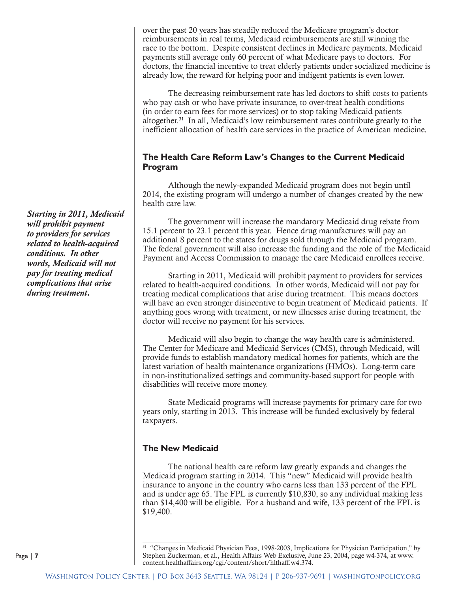over the past 20 years has steadily reduced the Medicare program's doctor reimbursements in real terms, Medicaid reimbursements are still winning the race to the bottom. Despite consistent declines in Medicare payments, Medicaid payments still average only 60 percent of what Medicare pays to doctors. For doctors, the financial incentive to treat elderly patients under socialized medicine is already low, the reward for helping poor and indigent patients is even lower.

The decreasing reimbursement rate has led doctors to shift costs to patients who pay cash or who have private insurance, to over-treat health conditions (in order to earn fees for more services) or to stop taking Medicaid patients altogether.31 In all, Medicaid's low reimbursement rates contribute greatly to the inefficient allocation of health care services in the practice of American medicine.

#### **The Health Care Reform Law's Changes to the Current Medicaid Program**

Although the newly-expanded Medicaid program does not begin until 2014, the existing program will undergo a number of changes created by the new health care law.

The government will increase the mandatory Medicaid drug rebate from 15.1 percent to 23.1 percent this year. Hence drug manufactures will pay an additional 8 percent to the states for drugs sold through the Medicaid program. The federal government will also increase the funding and the role of the Medicaid Payment and Access Commission to manage the care Medicaid enrollees receive.

Starting in 2011, Medicaid will prohibit payment to providers for services related to health-acquired conditions. In other words, Medicaid will not pay for treating medical complications that arise during treatment. This means doctors will have an even stronger disincentive to begin treatment of Medicaid patients. If anything goes wrong with treatment, or new illnesses arise during treatment, the doctor will receive no payment for his services.

Medicaid will also begin to change the way health care is administered. The Center for Medicare and Medicaid Services (CMS), through Medicaid, will provide funds to establish mandatory medical homes for patients, which are the latest variation of health maintenance organizations (HMOs). Long-term care in non-institutionalized settings and community-based support for people with disabilities will receive more money.

State Medicaid programs will increase payments for primary care for two years only, starting in 2013. This increase will be funded exclusively by federal taxpayers.

#### **The New Medicaid**

The national health care reform law greatly expands and changes the Medicaid program starting in 2014. This "new" Medicaid will provide health insurance to anyone in the country who earns less than 133 percent of the FPL and is under age 65. The FPL is currently \$10,830, so any individual making less than \$14,400 will be eligible. For a husband and wife, 133 percent of the FPL is \$19,400.

*Starting in 2011, Medicaid will prohibit payment to providers for services related to health-acquired conditions. In other words, Medicaid will not pay for treating medical complications that arise during treatment.*

<sup>31 &</sup>quot;Changes in Medicaid Physician Fees, 1998-2003, Implications for Physician Participation," by Stephen Zuckerman, et al., Health Affairs Web Exclusive, June 23, 2004, page w4-374, at www. content.healthaffairs.org/cgi/content/short/hlthaff.w4.374.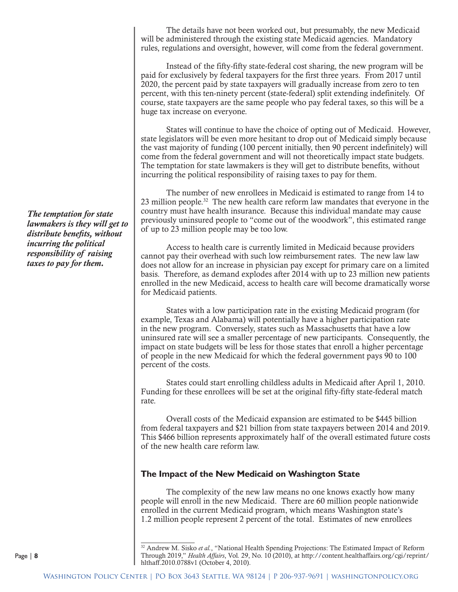The details have not been worked out, but presumably, the new Medicaid will be administered through the existing state Medicaid agencies. Mandatory rules, regulations and oversight, however, will come from the federal government.

Instead of the fifty-fifty state-federal cost sharing, the new program will be paid for exclusively by federal taxpayers for the first three years. From 2017 until 2020, the percent paid by state taxpayers will gradually increase from zero to ten percent, with this ten-ninety percent (state-federal) split extending indefinitely. Of course, state taxpayers are the same people who pay federal taxes, so this will be a huge tax increase on everyone.

States will continue to have the choice of opting out of Medicaid. However, state legislators will be even more hesitant to drop out of Medicaid simply because the vast majority of funding (100 percent initially, then 90 percent indefinitely) will come from the federal government and will not theoretically impact state budgets. The temptation for state lawmakers is they will get to distribute benefits, without incurring the political responsibility of raising taxes to pay for them.

The number of new enrollees in Medicaid is estimated to range from 14 to 23 million people.32 The new health care reform law mandates that everyone in the country must have health insurance. Because this individual mandate may cause previously uninsured people to "come out of the woodwork", this estimated range of up to 23 million people may be too low.

Access to health care is currently limited in Medicaid because providers cannot pay their overhead with such low reimbursement rates. The new law law does not allow for an increase in physician pay except for primary care on a limited basis. Therefore, as demand explodes after 2014 with up to 23 million new patients enrolled in the new Medicaid, access to health care will become dramatically worse for Medicaid patients.

States with a low participation rate in the existing Medicaid program (for example, Texas and Alabama) will potentially have a higher participation rate in the new program. Conversely, states such as Massachusetts that have a low uninsured rate will see a smaller percentage of new participants. Consequently, the impact on state budgets will be less for those states that enroll a higher percentage of people in the new Medicaid for which the federal government pays 90 to 100 percent of the costs.

States could start enrolling childless adults in Medicaid after April 1, 2010. Funding for these enrollees will be set at the original fifty-fifty state-federal match rate.

Overall costs of the Medicaid expansion are estimated to be \$445 billion from federal taxpayers and \$21 billion from state taxpayers between 2014 and 2019. This \$466 billion represents approximately half of the overall estimated future costs of the new health care reform law.

#### **The Impact of the New Medicaid on Washington State**

The complexity of the new law means no one knows exactly how many people will enroll in the new Medicaid. There are 60 million people nationwide enrolled in the current Medicaid program, which means Washington state's 1.2 million people represent 2 percent of the total. Estimates of new enrollees

*The temptation for state lawmakers is they will get to distribute benefits, without incurring the political responsibility of raising taxes to pay for them.*

<sup>32</sup> Andrew M. Sisko *et al.*, "National Health Spending Projections: The Estimated Impact of Reform Through 2019," *Health Affairs*, Vol*.* 29, No. 10 (2010), at http://content.healthaffairs.org/cgi/reprint/ hlthaff.2010.0788v1 (October 4, 2010).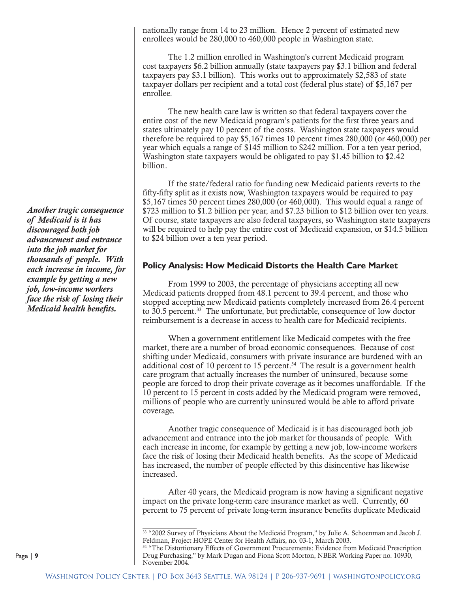nationally range from 14 to 23 million. Hence 2 percent of estimated new enrollees would be 280,000 to 460,000 people in Washington state.

The 1.2 million enrolled in Washington's current Medicaid program cost taxpayers \$6.2 billion annually (state taxpayers pay \$3.1 billion and federal taxpayers pay \$3.1 billion). This works out to approximately \$2,583 of state taxpayer dollars per recipient and a total cost (federal plus state) of \$5,167 per enrollee.

The new health care law is written so that federal taxpayers cover the entire cost of the new Medicaid program's patients for the first three years and states ultimately pay 10 percent of the costs. Washington state taxpayers would therefore be required to pay \$5,167 times 10 percent times 280,000 (or 460,000) per year which equals a range of \$145 million to \$242 million. For a ten year period, Washington state taxpayers would be obligated to pay \$1.45 billion to \$2.42 billion.

If the state/federal ratio for funding new Medicaid patients reverts to the fifty-fifty split as it exists now, Washington taxpayers would be required to pay \$5,167 times 50 percent times 280,000 (or 460,000). This would equal a range of \$723 million to \$1.2 billion per year, and \$7.23 billion to \$12 billion over ten years. Of course, state taxpayers are also federal taxpayers, so Washington state taxpayers will be required to help pay the entire cost of Medicaid expansion, or \$14.5 billion to \$24 billion over a ten year period.

#### **Policy Analysis: How Medicaid Distorts the Health Care Market**

From 1999 to 2003, the percentage of physicians accepting all new Medicaid patients dropped from 48.1 percent to 39.4 percent, and those who stopped accepting new Medicaid patients completely increased from 26.4 percent to 30.5 percent.33 The unfortunate, but predictable, consequence of low doctor reimbursement is a decrease in access to health care for Medicaid recipients.

When a government entitlement like Medicaid competes with the free market, there are a number of broad economic consequences. Because of cost shifting under Medicaid, consumers with private insurance are burdened with an additional cost of 10 percent to 15 percent.<sup>34</sup> The result is a government health care program that actually increases the number of uninsured, because some people are forced to drop their private coverage as it becomes unaffordable. If the 10 percent to 15 percent in costs added by the Medicaid program were removed, millions of people who are currently uninsured would be able to afford private coverage.

Another tragic consequence of Medicaid is it has discouraged both job advancement and entrance into the job market for thousands of people. With each increase in income, for example by getting a new job, low-income workers face the risk of losing their Medicaid health benefits. As the scope of Medicaid has increased, the number of people effected by this disincentive has likewise increased.

After 40 years, the Medicaid program is now having a significant negative impact on the private long-term care insurance market as well. Currently, 60 percent to 75 percent of private long-term insurance benefits duplicate Medicaid

*Another tragic consequence of Medicaid is it has discouraged both job advancement and entrance into the job market for thousands of people. With each increase in income, for example by getting a new job, low-income workers face the risk of losing their Medicaid health benefits.* 

<sup>33 &</sup>quot;2002 Survey of Physicians About the Medicaid Program," by Julie A. Schoenman and Jacob J. Feldman, Project HOPE Center for Health Affairs, no. 03-1, March 2003.

<sup>34 &</sup>quot;The Distortionary Effects of Government Procurements: Evidence from Medicaid Prescription Drug Purchasing," by Mark Dugan and Fiona Scott Morton, NBER Working Paper no. 10930, November 2004.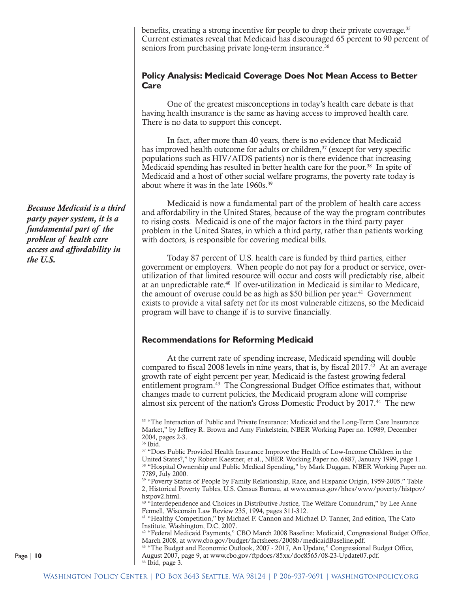benefits, creating a strong incentive for people to drop their private coverage.<sup>35</sup> Current estimates reveal that Medicaid has discouraged 65 percent to 90 percent of seniors from purchasing private long-term insurance.<sup>36</sup>

#### **Policy Analysis: Medicaid Coverage Does Not Mean Access to Better Care**

One of the greatest misconceptions in today's health care debate is that having health insurance is the same as having access to improved health care. There is no data to support this concept.

In fact, after more than 40 years, there is no evidence that Medicaid has improved health outcome for adults or children,<sup>37</sup> (except for very specific populations such as HIV/AIDS patients) nor is there evidence that increasing Medicaid spending has resulted in better health care for the poor.<sup>38</sup> In spite of Medicaid and a host of other social welfare programs, the poverty rate today is about where it was in the late 1960s.39

Medicaid is now a fundamental part of the problem of health care access and affordability in the United States, because of the way the program contributes to rising costs. Medicaid is one of the major factors in the third party payer problem in the United States, in which a third party, rather than patients working with doctors, is responsible for covering medical bills.

Today 87 percent of U.S. health care is funded by third parties, either government or employers. When people do not pay for a product or service, overutilization of that limited resource will occur and costs will predictably rise, albeit at an unpredictable rate.<sup>40</sup> If over-utilization in Medicaid is similar to Medicare, the amount of overuse could be as high as  $$50$  billion per year.<sup>41</sup> Government exists to provide a vital safety net for its most vulnerable citizens, so the Medicaid program will have to change if is to survive financially.

#### **Recommendations for Reforming Medicaid**

At the current rate of spending increase, Medicaid spending will double compared to fiscal 2008 levels in nine years, that is, by fiscal  $2017<sup>42</sup>$  At an average growth rate of eight percent per year, Medicaid is the fastest growing federal entitlement program.43 The Congressional Budget Office estimates that, without changes made to current policies, the Medicaid program alone will comprise almost six percent of the nation's Gross Domestic Product by 2017.<sup>44</sup> The new

*Because Medicaid is a third party payer system, it is a fundamental part of the problem of health care access and affordability in the U.S.*

<sup>&</sup>lt;sup>35</sup> "The Interaction of Public and Private Insurance: Medicaid and the Long-Term Care Insurance Market," by Jeffrey R. Brown and Amy Finkelstein, NBER Working Paper no. 10989, December 2004, pages 2-3.

<sup>36</sup> Ibid.

<sup>&</sup>lt;sup>37</sup> "Does Public Provided Health Insurance Improve the Health of Low-Income Children in the United States?," by Robert Kaestner, et al., NBER Working Paper no. 6887, January 1999, page 1. 38 "Hospital Ownership and Public Medical Spending," by Mark Duggan, NBER Working Paper no. 7789, July 2000.

<sup>39 &</sup>quot;Poverty Status of People by Family Relationship, Race, and Hispanic Origin, 1959-2005." Table 2, Historical Poverty Tables, U.S. Census Bureau, at www.census.gov/hhes/www/poverty/histpov/ hstpov2.html.

<sup>40 &</sup>quot;Interdependence and Choices in Distributive Justice, The Welfare Conundrum," by Lee Anne Fennell, Wisconsin Law Review 235, 1994, pages 311-312.

<sup>41 &</sup>quot;Healthy Competition," by Michael F. Cannon and Michael D. Tanner, 2nd edition, The Cato Institute, Washington, D.C, 2007.

<sup>42 &</sup>quot;Federal Medicaid Payments," CBO March 2008 Baseline: Medicaid, Congressional Budget Office, March 2008, at www.cbo.gov/budget/factsheets/2008b/medicaidBaseline.pdf.

<sup>43 &</sup>quot;The Budget and Economic Outlook, 2007 - 2017, An Update," Congressional Budget Office, August 2007, page 9, at www.cbo.gov/ftpdocs/85xx/doc8565/08-23-Update07.pdf. <sup>44</sup> Ibid, page 3.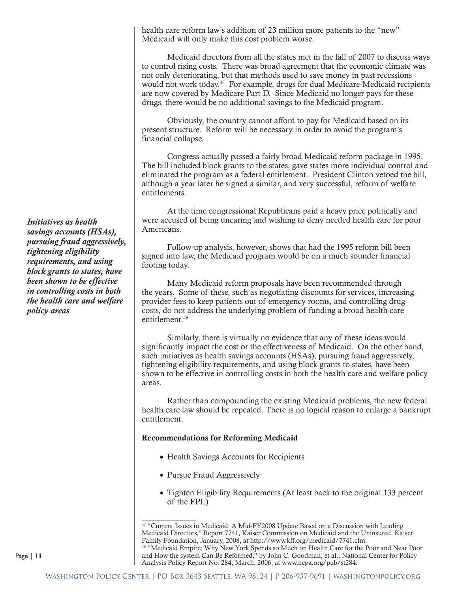health care reform law's addition of 23 million more patients to the "new" Medicaid will only make this cost problem worse.

Medicaid directors from all the states met in the fall of 2007 to discuss ways to control rising costs. There was broad agreement that the economic climate was not only deteriorating, but that methods used to save money in past recessions would not work today.<sup>45</sup> For example, drugs for dual Medicare-Medicaid recipients are now covered by Medicare Part D. Since Medicaid no longer pays for these drugs, there would be no additional savings to the Medicaid program.

Obviously, the country cannot afford to pay for Medicaid based on its present structure. Reform will be necessary in order to avoid the program's financial collapse.

Congress actually passed a fairly broad Medicaid reform package in 1995. The bill included block grants to the states, gave states more individual control and eliminated the program as a federal entitlement. President Clinton vetoed the bill, although a year later he signed a similar, and very successful, reform of welfare entitlements.

At the time congressional Republicans paid a heavy price politically and were accused of being uncaring and wishing to deny needed health care for poor Americans.

Follow-up analysis, however, shows that had the 1995 reform bill been signed into law, the Medicaid program would be on a much sounder financial footing today.

Many Medicaid reform proposals have been recommended through the years. Some of these, such as negotiating discounts for services, increasing provider fees to keep patients out of emergency rooms, and controlling drug costs, do not address the underlying problem of funding a broad health care entitlement.<sup>46</sup>

Similarly, there is virtually no evidence that any of these ideas would significantly impact the cost or the effectiveness of Medicaid. On the other hand, such initiatives as health savings accounts (HSAs), pursuing fraud aggressively, tightening eligibility requirements, and using block grants to states, have been shown to be effective in controlling costs in both the health care and welfare policy areas.

Rather than compounding the existing Medicaid problems, the new federal health care law should be repealed. There is no logical reason to enlarge a bankrupt entitlement.

#### Recommendations for Reforming Medicaid

- Health Savings Accounts for Recipients
- Pursue Fraud Aggressively
- Tighten Eligibility Requirements (At least back to the original 133 percent of the FPL)

*Initiatives as health savings accounts (HSAs), pursuing fraud aggressively, tightening eligibility requirements, and using block grants to states, have been shown to be effective in controlling costs in both the health care and welfare policy areas*

<sup>45 &</sup>quot;Current Issues in Medicaid: A Mid-FY2008 Update Based on a Discussion with Leading Medicaid Directors," Report 7741, Kaiser Commission on Medicaid and the Uninsured, Kaiser Family Foundation, January, 2008, at http://www.kff.org/medicaid/7741.cfm. 46 "Medicaid Empire: Why New York Spends so Much on Health Care for the Poor and Near Poor and How the system Can Be Reformed," by John C. Goodman, et al., National Center for Policy Analysis Policy Report No. 284, March, 2006, at www.ncpa.org/pub/st284.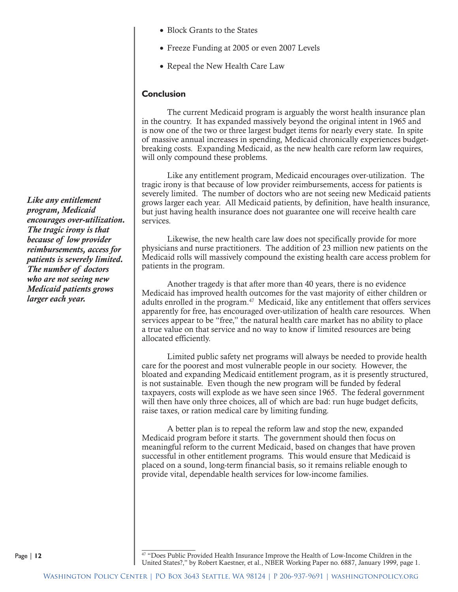- Block Grants to the States
- Freeze Funding at 2005 or even 2007 Levels
- Repeal the New Health Care Law

#### **Conclusion**

The current Medicaid program is arguably the worst health insurance plan in the country. It has expanded massively beyond the original intent in 1965 and is now one of the two or three largest budget items for nearly every state. In spite of massive annual increases in spending, Medicaid chronically experiences budgetbreaking costs. Expanding Medicaid, as the new health care reform law requires, will only compound these problems.

Like any entitlement program, Medicaid encourages over-utilization. The tragic irony is that because of low provider reimbursements, access for patients is severely limited. The number of doctors who are not seeing new Medicaid patients grows larger each year. All Medicaid patients, by definition, have health insurance, but just having health insurance does not guarantee one will receive health care services.

Likewise, the new health care law does not specifically provide for more physicians and nurse practitioners. The addition of 23 million new patients on the Medicaid rolls will massively compound the existing health care access problem for patients in the program.

Another tragedy is that after more than 40 years, there is no evidence Medicaid has improved health outcomes for the vast majority of either children or adults enrolled in the program.<sup>47</sup> Medicaid, like any entitlement that offers services apparently for free, has encouraged over-utilization of health care resources. When services appear to be "free," the natural health care market has no ability to place a true value on that service and no way to know if limited resources are being allocated efficiently.

Limited public safety net programs will always be needed to provide health care for the poorest and most vulnerable people in our society. However, the bloated and expanding Medicaid entitlement program, as it is presently structured, is not sustainable. Even though the new program will be funded by federal taxpayers, costs will explode as we have seen since 1965. The federal government will then have only three choices, all of which are bad: run huge budget deficits, raise taxes, or ration medical care by limiting funding.

A better plan is to repeal the reform law and stop the new, expanded Medicaid program before it starts. The government should then focus on meaningful reform to the current Medicaid, based on changes that have proven successful in other entitlement programs. This would ensure that Medicaid is placed on a sound, long-term financial basis, so it remains reliable enough to provide vital, dependable health services for low-income families.

47 "Does Public Provided Health Insurance Improve the Health of Low-Income Children in the United States?," by Robert Kaestner, et al., NBER Working Paper no. 6887, January 1999, page 1.

*Like any entitlement program, Medicaid encourages over-utilization. The tragic irony is that because of low provider reimbursements, access for patients is severely limited. The number of doctors who are not seeing new Medicaid patients grows larger each year.*